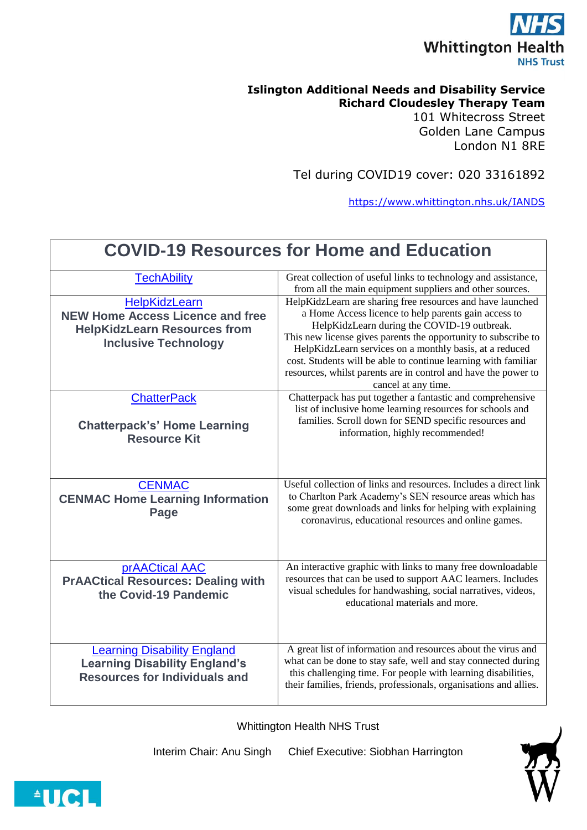

## **Islington Additional Needs and Disability Service Richard Cloudesley Therapy Team** 101 Whitecross Street

Golden Lane Campus London N1 8RE

Tel during COVID19 cover: 020 33161892

<https://www.whittington.nhs.uk/IANDS>

| <b>COVID-19 Resources for Home and Education</b>                                                                               |                                                                                                                                                                                                                                                                                                                                                                                                                                                           |
|--------------------------------------------------------------------------------------------------------------------------------|-----------------------------------------------------------------------------------------------------------------------------------------------------------------------------------------------------------------------------------------------------------------------------------------------------------------------------------------------------------------------------------------------------------------------------------------------------------|
| <b>TechAbility</b>                                                                                                             | Great collection of useful links to technology and assistance,<br>from all the main equipment suppliers and other sources.                                                                                                                                                                                                                                                                                                                                |
| HelpKidzLearn<br><b>NEW Home Access Licence and free</b><br><b>HelpKidzLearn Resources from</b><br><b>Inclusive Technology</b> | HelpKidzLearn are sharing free resources and have launched<br>a Home Access licence to help parents gain access to<br>HelpKidzLearn during the COVID-19 outbreak.<br>This new license gives parents the opportunity to subscribe to<br>HelpKidzLearn services on a monthly basis, at a reduced<br>cost. Students will be able to continue learning with familiar<br>resources, whilst parents are in control and have the power to<br>cancel at any time. |
| <b>ChatterPack</b><br><b>Chatterpack's' Home Learning</b><br><b>Resource Kit</b>                                               | Chatterpack has put together a fantastic and comprehensive<br>list of inclusive home learning resources for schools and<br>families. Scroll down for SEND specific resources and<br>information, highly recommended!                                                                                                                                                                                                                                      |
| <b>CENMAC</b><br><b>CENMAC Home Learning Information</b><br>Page                                                               | Useful collection of links and resources. Includes a direct link<br>to Charlton Park Academy's SEN resource areas which has<br>some great downloads and links for helping with explaining<br>coronavirus, educational resources and online games.                                                                                                                                                                                                         |
| <b>prAACtical AAC</b><br><b>PrAACtical Resources: Dealing with</b><br>the Covid-19 Pandemic                                    | An interactive graphic with links to many free downloadable<br>resources that can be used to support AAC learners. Includes<br>visual schedules for handwashing, social narratives, videos,<br>educational materials and more.                                                                                                                                                                                                                            |
| <b>Learning Disability England</b><br><b>Learning Disability England's</b><br><b>Resources for Individuals and</b>             | A great list of information and resources about the virus and<br>what can be done to stay safe, well and stay connected during<br>this challenging time. For people with learning disabilities,<br>their families, friends, professionals, organisations and allies.                                                                                                                                                                                      |

Whittington Health NHS Trust

Interim Chair: Anu Singh Chief Executive: Siobhan Harrington